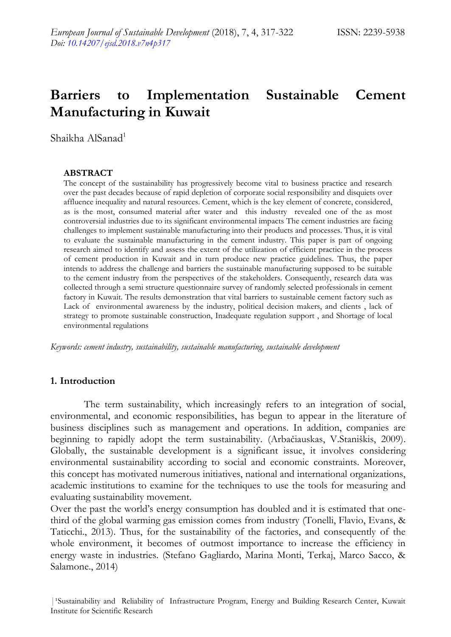# **Barriers to Implementation Sustainable Cement Manufacturing in Kuwait**

Shaikha AlSanad<sup>1</sup>

#### **ABSTRACT**

The concept of the sustainability has progressively become vital to business practice and research over the past decades because of rapid depletion of corporate social responsibility and disquiets over affluence inequality and natural resources. Cement, which is the key element of concrete, considered, as is the most, consumed material after water and this industry revealed one of the as most controversial industries due to its significant environmental impacts The cement industries are facing challenges to implement sustainable manufacturing into their products and processes. Thus, it is vital to evaluate the sustainable manufacturing in the cement industry. This paper is part of ongoing research aimed to identify and assess the extent of the utilization of efficient practice in the process of cement production in Kuwait and in turn produce new practice guidelines. Thus, the paper intends to address the challenge and barriers the sustainable manufacturing supposed to be suitable to the cement industry from the perspectives of the stakeholders. Consequently, research data was collected through a semi structure questionnaire survey of randomly selected professionals in cement factory in Kuwait. The results demonstration that vital barriers to sustainable cement factory such as Lack of environmental awareness by the industry, political decision makers, and clients , lack of strategy to promote sustainable construction, Inadequate regulation support , and Shortage of local environmental regulations

*Keywords: cement industry, sustainability, sustainable manufacturing, sustainable development*

#### **1. Introduction**

The term sustainability, which increasingly refers to an integration of social, environmental, and economic responsibilities, has begun to appear in the literature of business disciplines such as management and operations. In addition, companies are beginning to rapidly adopt the term sustainability. (Arbačiauskas, V.Staniškis, 2009). Globally, the sustainable development is a significant issue, it involves considering environmental sustainability according to social and economic constraints. Moreover, this concept has motivated numerous initiatives, national and international organizations, academic institutions to examine for the techniques to use the tools for measuring and evaluating sustainability movement.

Over the past the world's energy consumption has doubled and it is estimated that onethird of the global warming gas emission comes from industry (Tonelli, Flavio, Evans, & Taticchi., 2013). Thus, for the sustainability of the factories, and consequently of the whole environment, it becomes of outmost importance to increase the efficiency in energy waste in industries. (Stefano Gagliardo, Marina Monti, Terkaj, Marco Sacco, & Salamone., 2014)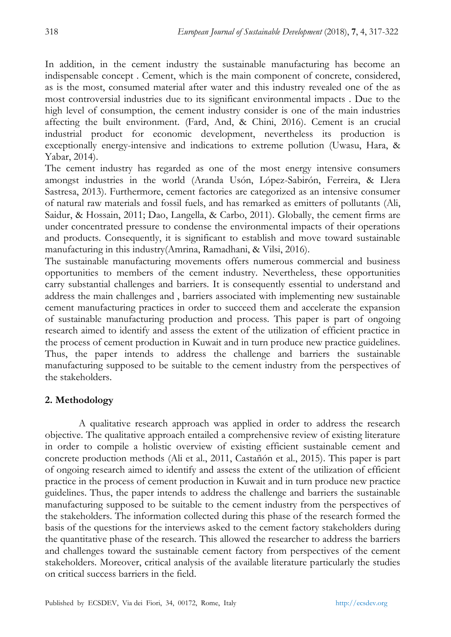In addition, in the cement industry the sustainable manufacturing has become an indispensable concept . Cement, which is the main component of concrete, considered, as is the most, consumed material after water and this industry revealed one of the as most controversial industries due to its significant environmental impacts . Due to the high level of consumption, the cement industry consider is one of the main industries affecting the built environment. (Fard, And, & Chini, 2016). Cement is an crucial industrial product for economic development, nevertheless its production is exceptionally energy-intensive and indications to extreme pollution (Uwasu, Hara, & Yabar, 2014).

The cement industry has regarded as one of the most energy intensive consumers amongst industries in the world (Aranda Usón, López-Sabirón, Ferreira, & Llera Sastresa, 2013). Furthermore, cement factories are categorized as an intensive consumer of natural raw materials and fossil fuels, and has remarked as emitters of pollutants (Ali, Saidur, & Hossain, 2011; Dao, Langella, & Carbo, 2011). Globally, the cement firms are under concentrated pressure to condense the environmental impacts of their operations and products. Consequently, it is significant to establish and move toward sustainable manufacturing in this industry(Amrina, Ramadhani, & Vilsi, 2016).

The sustainable manufacturing movements offers numerous commercial and business opportunities to members of the cement industry. Nevertheless, these opportunities carry substantial challenges and barriers. It is consequently essential to understand and address the main challenges and , barriers associated with implementing new sustainable cement manufacturing practices in order to succeed them and accelerate the expansion of sustainable manufacturing production and process. This paper is part of ongoing research aimed to identify and assess the extent of the utilization of efficient practice in the process of cement production in Kuwait and in turn produce new practice guidelines. Thus, the paper intends to address the challenge and barriers the sustainable manufacturing supposed to be suitable to the cement industry from the perspectives of the stakeholders.

## **2. Methodology**

A qualitative research approach was applied in order to address the research objective. The qualitative approach entailed a comprehensive review of existing literature in order to compile a holistic overview of existing efficient sustainable cement and concrete production methods (Ali et al., 2011, Castañón et al., 2015). This paper is part of ongoing research aimed to identify and assess the extent of the utilization of efficient practice in the process of cement production in Kuwait and in turn produce new practice guidelines. Thus, the paper intends to address the challenge and barriers the sustainable manufacturing supposed to be suitable to the cement industry from the perspectives of the stakeholders. The information collected during this phase of the research formed the basis of the questions for the interviews asked to the cement factory stakeholders during the quantitative phase of the research. This allowed the researcher to address the barriers and challenges toward the sustainable cement factory from perspectives of the cement stakeholders. Moreover, critical analysis of the available literature particularly the studies on critical success barriers in the field.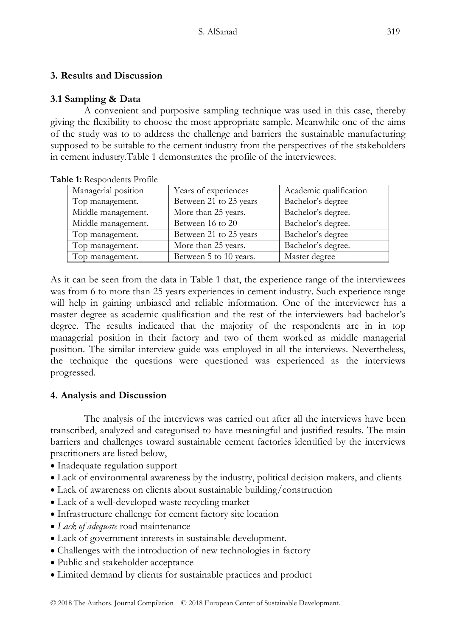# **3. Results and Discussion**

# **3.1 Sampling & Data**

A convenient and purposive sampling technique was used in this case, thereby giving the flexibility to choose the most appropriate sample. Meanwhile one of the aims of the study was to to address the challenge and barriers the sustainable manufacturing supposed to be suitable to the cement industry from the perspectives of the stakeholders in cement industr[y.Table](#page-2-0) 1 demonstrates the profile of the interviewees.

| ne 1. Respondents i folhe |                        |                        |
|---------------------------|------------------------|------------------------|
| Managerial position       | Years of experiences   | Academic qualification |
| Top management.           | Between 21 to 25 years | Bachelor's degree      |
| Middle management.        | More than 25 years.    | Bachelor's degree.     |
| Middle management.        | Between 16 to 20       | Bachelor's degree.     |
| Top management.           | Between 21 to 25 years | Bachelor's degree      |
| Top management.           | More than 25 years.    | Bachelor's degree.     |
| Top management.           | Between 5 to 10 years. | Master degree          |

<span id="page-2-0"></span>**Table 1:** Respondents Profile

As it can be seen from the data in [Table](#page-2-0) 1 that, the experience range of the interviewees was from 6 to more than 25 years experiences in cement industry. Such experience range will help in gaining unbiased and reliable information. One of the interviewer has a master degree as academic qualification and the rest of the interviewers had bachelor's degree. The results indicated that the majority of the respondents are in in top managerial position in their factory and two of them worked as middle managerial position. The similar interview guide was employed in all the interviews. Nevertheless, the technique the questions were questioned was experienced as the interviews progressed.

## **4. Analysis and Discussion**

The analysis of the interviews was carried out after all the interviews have been transcribed, analyzed and categorised to have meaningful and justified results. The main barriers and challenges toward sustainable cement factories identified by the interviews practitioners are listed below,

- Inadequate regulation support
- Lack of environmental awareness by the industry, political decision makers, and clients
- Lack of awareness on clients about sustainable building/construction
- Lack of a well-developed waste recycling market
- Infrastructure challenge for cement factory site location
- *Lack of adequate* road maintenance
- Lack of government interests in sustainable development.
- Challenges with the introduction of new technologies in factory
- Public and stakeholder acceptance
- Limited demand by clients for sustainable practices and product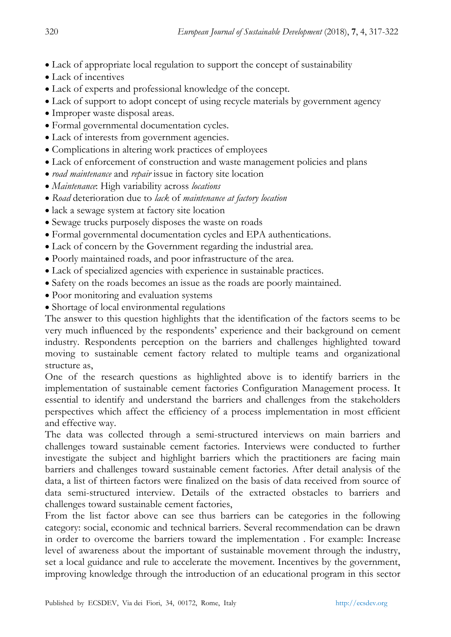- Lack of appropriate local regulation to support the concept of sustainability
- Lack of incentives
- Lack of experts and professional knowledge of the concept.
- Lack of support to adopt concept of using recycle materials by government agency
- Improper waste disposal areas.
- Formal governmental documentation cycles.
- Lack of interests from government agencies.
- Complications in altering work practices of employees
- Lack of enforcement of construction and waste management policies and plans
- *road maintenance* and *repair* issue in factory site location
- *Maintenance*: High variability across *locations*
- *Road* deterioration due to *lack* of *maintenance at factory location*
- lack a sewage system at factory site location
- Sewage trucks purposely disposes the waste on roads
- Formal governmental documentation cycles and EPA authentications.
- Lack of concern by the Government regarding the industrial area.
- Poorly maintained roads, and poor infrastructure of the area.
- Lack of specialized agencies with experience in sustainable practices.
- Safety on the roads becomes an issue as the roads are poorly maintained.
- Poor monitoring and evaluation systems
- Shortage of local environmental regulations

The answer to this question highlights that the identification of the factors seems to be very much influenced by the respondents' experience and their background on cement industry. Respondents perception on the barriers and challenges highlighted toward moving to sustainable cement factory related to multiple teams and organizational structure as,

One of the research questions as highlighted above is to identify barriers in the implementation of sustainable cement factories Configuration Management process. It essential to identify and understand the barriers and challenges from the stakeholders perspectives which affect the efficiency of a process implementation in most efficient and effective way.

The data was collected through a semi-structured interviews on main barriers and challenges toward sustainable cement factories. Interviews were conducted to further investigate the subject and highlight barriers which the practitioners are facing main barriers and challenges toward sustainable cement factories. After detail analysis of the data, a list of thirteen factors were finalized on the basis of data received from source of data semi-structured interview. Details of the extracted obstacles to barriers and challenges toward sustainable cement factories,

From the list factor above can see thus barriers can be categories in the following category: social, economic and technical barriers. Several recommendation can be drawn in order to overcome the barriers toward the implementation . For example: Increase level of awareness about the important of sustainable movement through the industry, set a local guidance and rule to accelerate the movement. Incentives by the government, improving knowledge through the introduction of an educational program in this sector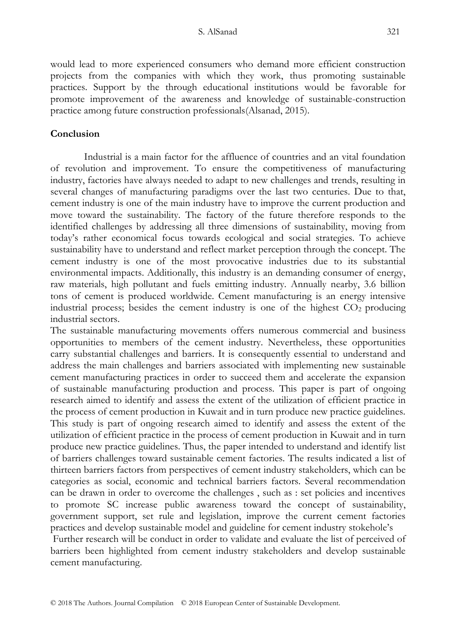would lead to more experienced consumers who demand more efficient construction projects from the companies with which they work, thus promoting sustainable practices. Support by the through educational institutions would be favorable for promote improvement of the awareness and knowledge of sustainable-construction practice among future construction professionals(Alsanad, 2015).

# **Conclusion**

Industrial is a main factor for the affluence of countries and an vital foundation of revolution and improvement. To ensure the competitiveness of manufacturing industry, factories have always needed to adapt to new challenges and trends, resulting in several changes of manufacturing paradigms over the last two centuries. Due to that, cement industry is one of the main industry have to improve the current production and move toward the sustainability. The factory of the future therefore responds to the identified challenges by addressing all three dimensions of sustainability, moving from today's rather economical focus towards ecological and social strategies. To achieve sustainability have to understand and reflect market perception through the concept. The cement industry is one of the most provocative industries due to its substantial environmental impacts. Additionally, this industry is an demanding consumer of energy, raw materials, high pollutant and fuels emitting industry. Annually nearby, 3.6 billion tons of cement is produced worldwide. Cement manufacturing is an energy intensive industrial process; besides the cement industry is one of the highest  $CO<sub>2</sub>$  producing industrial sectors.

The sustainable manufacturing movements offers numerous commercial and business opportunities to members of the cement industry. Nevertheless, these opportunities carry substantial challenges and barriers. It is consequently essential to understand and address the main challenges and barriers associated with implementing new sustainable cement manufacturing practices in order to succeed them and accelerate the expansion of sustainable manufacturing production and process. This paper is part of ongoing research aimed to identify and assess the extent of the utilization of efficient practice in the process of cement production in Kuwait and in turn produce new practice guidelines. This study is part of ongoing research aimed to identify and assess the extent of the utilization of efficient practice in the process of cement production in Kuwait and in turn produce new practice guidelines. Thus, the paper intended to understand and identify list of barriers challenges toward sustainable cement factories. The results indicated a list of thirteen barriers factors from perspectives of cement industry stakeholders, which can be categories as social, economic and technical barriers factors. Several recommendation can be drawn in order to overcome the challenges , such as : set policies and incentives to promote SC increase public awareness toward the concept of sustainability, government support, set rule and legislation, improve the current cement factories practices and develop sustainable model and guideline for cement industry stokehole's

Further research will be conduct in order to validate and evaluate the list of perceived of barriers been highlighted from cement industry stakeholders and develop sustainable cement manufacturing.